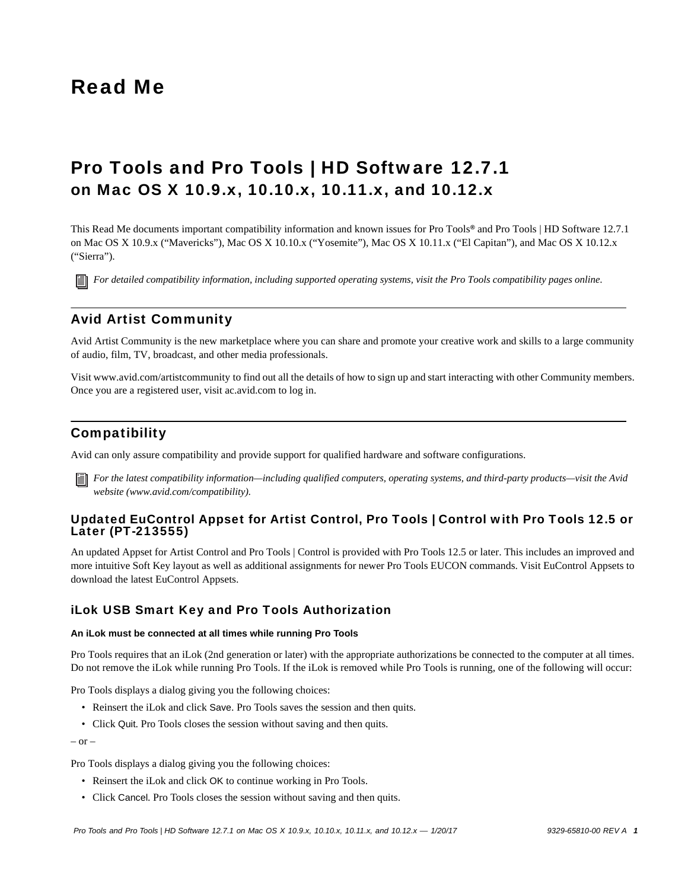# Read Me

# Pro Tools and Pro Tools | HD Software 12.7.1 on Mac OS X 10.9.x, 10.10.x, 10.11.x, and 10.12.x

This Read Me documents important compatibility information and known issues for Pro Tools*®* and Pro Tools | HD Software 12.7.1 on Mac OS X 10.9.x ("Mavericks"), Mac OS X 10.10.x ("Yosemite"), Mac OS X 10.11.x ("El Capitan"), and Mac OS X 10.12.x ("Sierra").

*[For detailed compatibility information, including supported operating systems, visit the Pro Tools compatibility pages online.](http://avid.force.com/pkb/articles/Compatibility/Pro-Tools-12-System-Requirements)*

# Avid Artist Community

Avid Artist Community is the new marketplace where you can share and promote your creative work and skills to a large community of audio, film, TV, broadcast, and other media professionals.

[Visit www.avid.com/artistcommunity to find out all the details of how to sign up and start interacting with other Community members.](www.avid.com/artistcommunity)  [Once you are a registered user, visit](www.avid.com/artistcommunity) [ac.avid.com to log in.](http://ac.avid.com/)

# **Compatibility**

Avid can only assure compatibility and provide support for qualified hardware and software configurations.

*[For the latest compatibility information—including qualified computers, operating systems, and third-party products—visit the Avid](http://www.avid.com/compatibility)  website (www.avid.com/compatibility).*

# Updated EuControl Appset for Artist Control, Pro Tools | Control with Pro Tools 12.5 or Later (PT-213555)

An updated Appset for Artist Control and Pro Tools | Control is provided with Pro Tools 12.5 or later. This includes an improved and [more intuitive Soft Key layout as well as additional assignments for newer Pro Tools EUCON commands. Visit EuControl Appsets to](http://avid.force.com/pkb/articles/download/Where-can-I-find-the-latest-EuControl-Appsets) download the latest EuControl Appsets.

# iLok USB Smart Key and Pro Tools Authorization

#### **An iLok must be connected at all times while running Pro Tools**

Pro Tools requires that an iLok (2nd generation or later) with the appropriate authorizations be connected to the computer at all times. Do not remove the iLok while running Pro Tools. If the iLok is removed while Pro Tools is running, one of the following will occur:

Pro Tools displays a dialog giving you the following choices:

- Reinsert the iLok and click Save. Pro Tools saves the session and then quits.
- Click Quit. Pro Tools closes the session without saving and then quits.

– or –

Pro Tools displays a dialog giving you the following choices:

- Reinsert the iLok and click OK to continue working in Pro Tools.
- Click Cancel. Pro Tools closes the session without saving and then quits.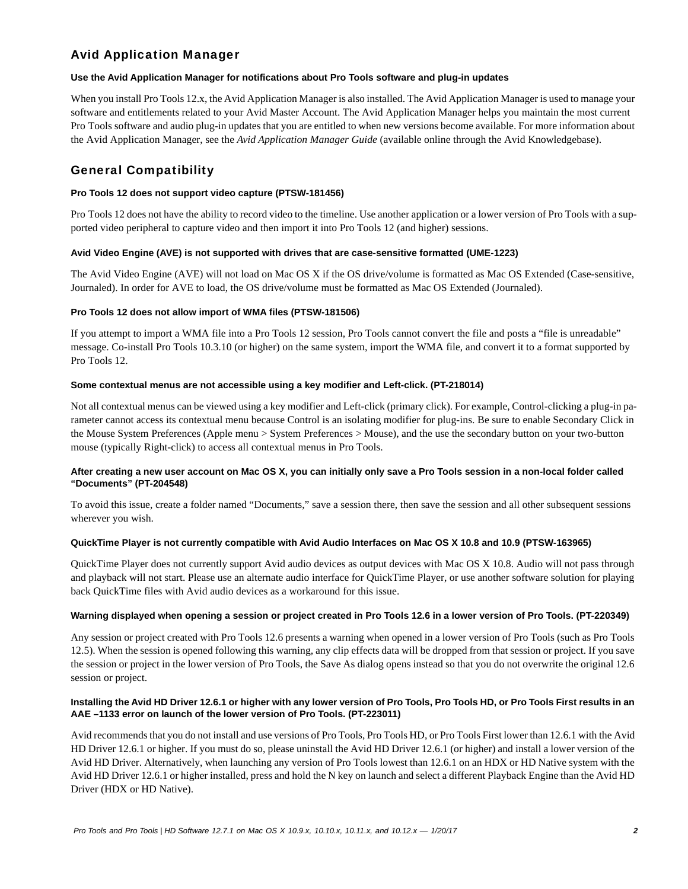# Avid Application Manager

# **Use the Avid Application Manager for notifications about Pro Tools software and plug-in updates**

When you install Pro Tools 12.x, the Avid Application Manager is also installed. The Avid Application Manager is used to manage your software and entitlements related to your Avid Master Account. The Avid Application Manager helps you maintain the most current Pro Tools software and audio plug-in updates that you are entitled to when new versions become available. For more information about the Avid Application Manager, see the *Avid Application Manager Guide* (available online through the Avid Knowledgebase).

# General Compatibility

### **Pro Tools 12 does not support video capture (PTSW-181456)**

Pro Tools 12 does not have the ability to record video to the timeline. Use another application or a lower version of Pro Tools with a supported video peripheral to capture video and then import it into Pro Tools 12 (and higher) sessions.

#### **Avid Video Engine (AVE) is not supported with drives that are case-sensitive formatted (UME-1223)**

The Avid Video Engine (AVE) will not load on Mac OS X if the OS drive/volume is formatted as Mac OS Extended (Case-sensitive, Journaled). In order for AVE to load, the OS drive/volume must be formatted as Mac OS Extended (Journaled).

#### **Pro Tools 12 does not allow import of WMA files (PTSW-181506)**

If you attempt to import a WMA file into a Pro Tools 12 session, Pro Tools cannot convert the file and posts a "file is unreadable" message. Co-install Pro Tools 10.3.10 (or higher) on the same system, import the WMA file, and convert it to a format supported by Pro Tools 12.

#### **Some contextual menus are not accessible using a key modifier and Left-click. (PT-218014)**

Not all contextual menus can be viewed using a key modifier and Left-click (primary click). For example, Control-clicking a plug-in parameter cannot access its contextual menu because Control is an isolating modifier for plug-ins. Be sure to enable Secondary Click in the Mouse System Preferences (Apple menu > System Preferences > Mouse), and the use the secondary button on your two-button mouse (typically Right-click) to access all contextual menus in Pro Tools.

# **After creating a new user account on Mac OS X, you can initially only save a Pro Tools session in a non-local folder called "Documents" (PT-204548)**

To avoid this issue, create a folder named "Documents," save a session there, then save the session and all other subsequent sessions wherever you wish.

#### **QuickTime Player is not currently compatible with Avid Audio Interfaces on Mac OS X 10.8 and 10.9 (PTSW-163965)**

QuickTime Player does not currently support Avid audio devices as output devices with Mac OS X 10.8. Audio will not pass through and playback will not start. Please use an alternate audio interface for QuickTime Player, or use another software solution for playing back QuickTime files with Avid audio devices as a workaround for this issue.

#### **Warning displayed when opening a session or project created in Pro Tools 12.6 in a lower version of Pro Tools. (PT-220349)**

Any session or project created with Pro Tools 12.6 presents a warning when opened in a lower version of Pro Tools (such as Pro Tools 12.5). When the session is opened following this warning, any clip effects data will be dropped from that session or project. If you save the session or project in the lower version of Pro Tools, the Save As dialog opens instead so that you do not overwrite the original 12.6 session or project.

# **Installing the Avid HD Driver 12.6.1 or higher with any lower version of Pro Tools, Pro Tools HD, or Pro Tools First results in an AAE –1133 error on launch of the lower version of Pro Tools. (PT-223011)**

Avid recommends that you do not install and use versions of Pro Tools, Pro Tools HD, or Pro Tools First lower than 12.6.1 with the Avid HD Driver 12.6.1 or higher. If you must do so, please uninstall the Avid HD Driver 12.6.1 (or higher) and install a lower version of the Avid HD Driver. Alternatively, when launching any version of Pro Tools lowest than 12.6.1 on an HDX or HD Native system with the Avid HD Driver 12.6.1 or higher installed, press and hold the N key on launch and select a different Playback Engine than the Avid HD Driver (HDX or HD Native).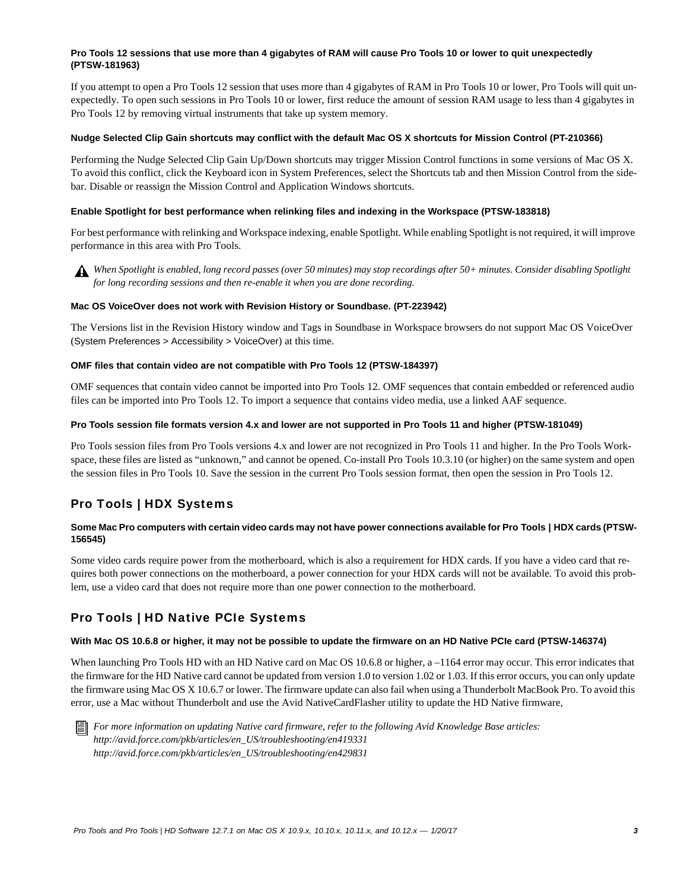# **Pro Tools 12 sessions that use more than 4 gigabytes of RAM will cause Pro Tools 10 or lower to quit unexpectedly (PTSW-181963)**

If you attempt to open a Pro Tools 12 session that uses more than 4 gigabytes of RAM in Pro Tools 10 or lower, Pro Tools will quit unexpectedly. To open such sessions in Pro Tools 10 or lower, first reduce the amount of session RAM usage to less than 4 gigabytes in Pro Tools 12 by removing virtual instruments that take up system memory.

#### **Nudge Selected Clip Gain shortcuts may conflict with the default Mac OS X shortcuts for Mission Control (PT-210366)**

Performing the Nudge Selected Clip Gain Up/Down shortcuts may trigger Mission Control functions in some versions of Mac OS X. To avoid this conflict, click the Keyboard icon in System Preferences, select the Shortcuts tab and then Mission Control from the sidebar. Disable or reassign the Mission Control and Application Windows shortcuts.

### **Enable Spotlight for best performance when relinking files and indexing in the Workspace (PTSW-183818)**

For best performance with relinking and Workspace indexing, enable Spotlight. While enabling Spotlight is not required, it will improve performance in this area with Pro Tools.



*When Spotlight is enabled, long record passes (over 50 minutes) may stop recordings after 50+ minutes. Consider disabling Spotlight for long recording sessions and then re-enable it when you are done recording.*

#### **Mac OS VoiceOver does not work with Revision History or Soundbase. (PT-223942)**

The Versions list in the Revision History window and Tags in Soundbase in Workspace browsers do not support Mac OS VoiceOver (System Preferences > Accessibility > VoiceOver) at this time.

#### **OMF files that contain video are not compatible with Pro Tools 12 (PTSW-184397)**

OMF sequences that contain video cannot be imported into Pro Tools 12. OMF sequences that contain embedded or referenced audio files can be imported into Pro Tools 12. To import a sequence that contains video media, use a linked AAF sequence.

#### **Pro Tools session file formats version 4.x and lower are not supported in Pro Tools 11 and higher (PTSW-181049)**

Pro Tools session files from Pro Tools versions 4.x and lower are not recognized in Pro Tools 11 and higher. In the Pro Tools Workspace, these files are listed as "unknown," and cannot be opened. Co-install Pro Tools 10.3.10 (or higher) on the same system and open the session files in Pro Tools 10. Save the session in the current Pro Tools session format, then open the session in Pro Tools 12.

# Pro Tools | HDX Systems

# Some Mac Pro computers with certain video cards may not have power connections available for Pro Tools | HDX cards (PTSW-**156545)**

Some video cards require power from the motherboard, which is also a requirement for HDX cards. If you have a video card that requires both power connections on the motherboard, a power connection for your HDX cards will not be available. To avoid this problem, use a video card that does not require more than one power connection to the motherboard.

# Pro Tools | HD Native PCIe Systems

#### **With Mac OS 10.6.8 or higher, it may not be possible to update the firmware on an HD Native PCIe card (PTSW-146374)**

When launching Pro Tools HD with an HD Native card on Mac OS 10.6.8 or higher, a -1164 error may occur. This error indicates that the firmware for the HD Native card cannot be updated from version 1.0 to version 1.02 or 1.03. If this error occurs, you can only update the firmware using Mac OS X 10.6.7 or lower. The firmware update can also fail when using a Thunderbolt MacBook Pro. To avoid this error, use a Mac without Thunderbolt and use the Avid NativeCardFlasher utility to update the HD Native firmware,



*For more information on updating Native card firmware, refer to the following Avid Knowledge Base articles: http://avid.force.com/pkb/articles/en\_US/troubleshooting/en419331 http://avid.force.com/pkb/articles/en\_US/troubleshooting/en429831*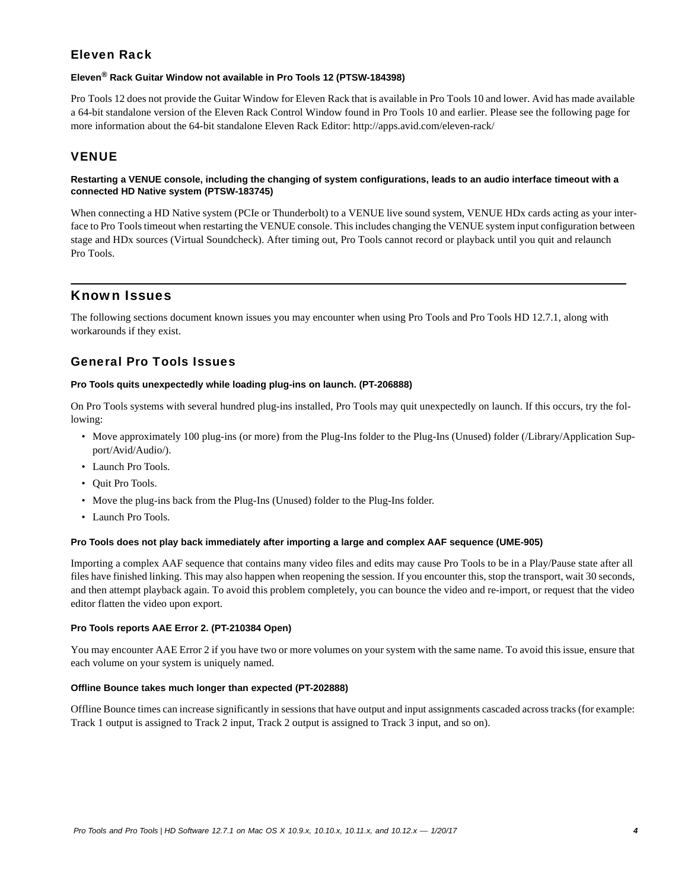# Eleven Rack

# **Eleven® Rack Guitar Window not available in Pro Tools 12 (PTSW-184398)**

Pro Tools 12 does not provide the Guitar Window for Eleven Rack that is available in Pro Tools 10 and lower. Avid has made available a 64-bit standalone version of the Eleven Rack Control Window found in Pro Tools 10 and earlier. Please see the following page for more information about the 64-bit standalone Eleven Rack Editor: http://apps.avid.com/eleven-rack/

# **VENUE**

# **Restarting a VENUE console, including the changing of system configurations, leads to an audio interface timeout with a connected HD Native system (PTSW-183745)**

When connecting a HD Native system (PCIe or Thunderbolt) to a VENUE live sound system, VENUE HDx cards acting as your interface to Pro Tools timeout when restarting the VENUE console. This includes changing the VENUE system input configuration between stage and HDx sources (Virtual Soundcheck). After timing out, Pro Tools cannot record or playback until you quit and relaunch Pro Tools.

# Known Issues

The following sections document known issues you may encounter when using Pro Tools and Pro Tools HD 12.7.1, along with workarounds if they exist.

# General Pro Tools Issues

# **Pro Tools quits unexpectedly while loading plug-ins on launch. (PT-206888)**

On Pro Tools systems with several hundred plug-ins installed, Pro Tools may quit unexpectedly on launch. If this occurs, try the following:

- Move approximately 100 plug-ins (or more) from the Plug-Ins folder to the Plug-Ins (Unused) folder (/Library/Application Support/Avid/Audio/).
- Launch Pro Tools.
- Quit Pro Tools.
- Move the plug-ins back from the Plug-Ins (Unused) folder to the Plug-Ins folder.
- Launch Pro Tools.

# **Pro Tools does not play back immediately after importing a large and complex AAF sequence (UME-905)**

Importing a complex AAF sequence that contains many video files and edits may cause Pro Tools to be in a Play/Pause state after all files have finished linking. This may also happen when reopening the session. If you encounter this, stop the transport, wait 30 seconds, and then attempt playback again. To avoid this problem completely, you can bounce the video and re-import, or request that the video editor flatten the video upon export.

# **Pro Tools reports AAE Error 2. (PT-210384 Open)**

You may encounter AAE Error 2 if you have two or more volumes on your system with the same name. To avoid this issue, ensure that each volume on your system is uniquely named.

# **Offline Bounce takes much longer than expected (PT-202888)**

Offline Bounce times can increase significantly in sessions that have output and input assignments cascaded across tracks (for example: Track 1 output is assigned to Track 2 input, Track 2 output is assigned to Track 3 input, and so on).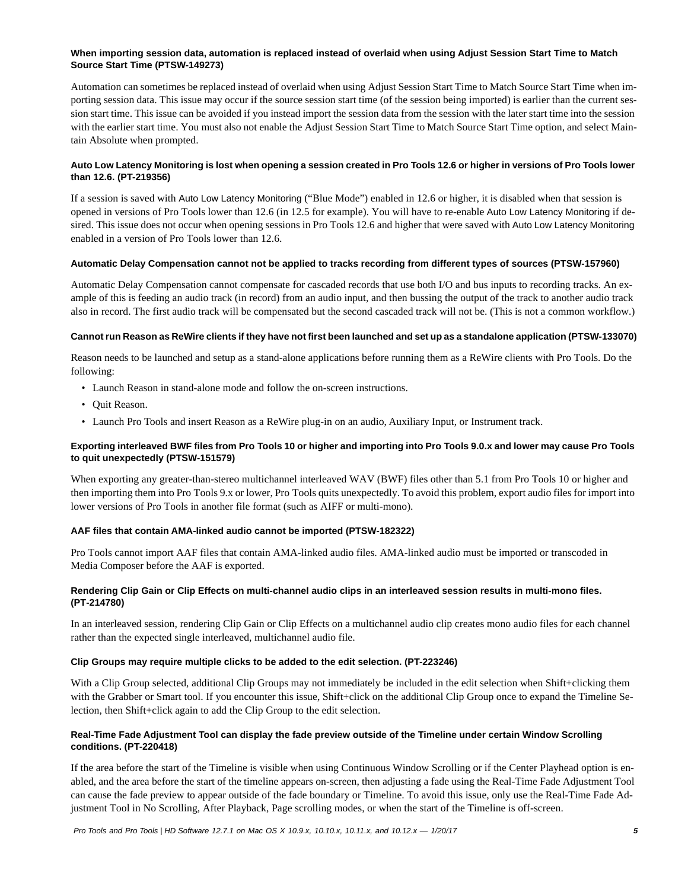# **When importing session data, automation is replaced instead of overlaid when using Adjust Session Start Time to Match Source Start Time (PTSW-149273)**

Automation can sometimes be replaced instead of overlaid when using Adjust Session Start Time to Match Source Start Time when importing session data. This issue may occur if the source session start time (of the session being imported) is earlier than the current session start time. This issue can be avoided if you instead import the session data from the session with the later start time into the session with the earlier start time. You must also not enable the Adjust Session Start Time to Match Source Start Time option, and select Maintain Absolute when prompted.

# **Auto Low Latency Monitoring is lost when opening a session created in Pro Tools 12.6 or higher in versions of Pro Tools lower than 12.6. (PT-219356)**

If a session is saved with Auto Low Latency Monitoring ("Blue Mode") enabled in 12.6 or higher, it is disabled when that session is opened in versions of Pro Tools lower than 12.6 (in 12.5 for example). You will have to re-enable Auto Low Latency Monitoring if desired. This issue does not occur when opening sessions in Pro Tools 12.6 and higher that were saved with Auto Low Latency Monitoring enabled in a version of Pro Tools lower than 12.6.

#### **Automatic Delay Compensation cannot not be applied to tracks recording from different types of sources (PTSW-157960)**

Automatic Delay Compensation cannot compensate for cascaded records that use both I/O and bus inputs to recording tracks. An example of this is feeding an audio track (in record) from an audio input, and then bussing the output of the track to another audio track also in record. The first audio track will be compensated but the second cascaded track will not be. (This is not a common workflow.)

#### **Cannot run Reason as ReWire clients if they have not first been launched and set up as a standalone application (PTSW-133070)**

Reason needs to be launched and setup as a stand-alone applications before running them as a ReWire clients with Pro Tools. Do the following:

- Launch Reason in stand-alone mode and follow the on-screen instructions.
- Quit Reason.
- Launch Pro Tools and insert Reason as a ReWire plug-in on an audio, Auxiliary Input, or Instrument track.

# **Exporting interleaved BWF files from Pro Tools 10 or higher and importing into Pro Tools 9.0.x and lower may cause Pro Tools to quit unexpectedly (PTSW-151579)**

When exporting any greater-than-stereo multichannel interleaved WAV (BWF) files other than 5.1 from Pro Tools 10 or higher and then importing them into Pro Tools 9.x or lower, Pro Tools quits unexpectedly. To avoid this problem, export audio files for import into lower versions of Pro Tools in another file format (such as AIFF or multi-mono).

# **AAF files that contain AMA-linked audio cannot be imported (PTSW-182322)**

Pro Tools cannot import AAF files that contain AMA-linked audio files. AMA-linked audio must be imported or transcoded in Media Composer before the AAF is exported.

# **Rendering Clip Gain or Clip Effects on multi-channel audio clips in an interleaved session results in multi-mono files. (PT-214780)**

In an interleaved session, rendering Clip Gain or Clip Effects on a multichannel audio clip creates mono audio files for each channel rather than the expected single interleaved, multichannel audio file.

# **Clip Groups may require multiple clicks to be added to the edit selection. (PT-223246)**

With a Clip Group selected, additional Clip Groups may not immediately be included in the edit selection when Shift+clicking them with the Grabber or Smart tool. If you encounter this issue, Shift+click on the additional Clip Group once to expand the Timeline Selection, then Shift+click again to add the Clip Group to the edit selection.

# **Real-Time Fade Adjustment Tool can display the fade preview outside of the Timeline under certain Window Scrolling conditions. (PT-220418)**

If the area before the start of the Timeline is visible when using Continuous Window Scrolling or if the Center Playhead option is enabled, and the area before the start of the timeline appears on-screen, then adjusting a fade using the Real-Time Fade Adjustment Tool can cause the fade preview to appear outside of the fade boundary or Timeline. To avoid this issue, only use the Real-Time Fade Adjustment Tool in No Scrolling, After Playback, Page scrolling modes, or when the start of the Timeline is off-screen.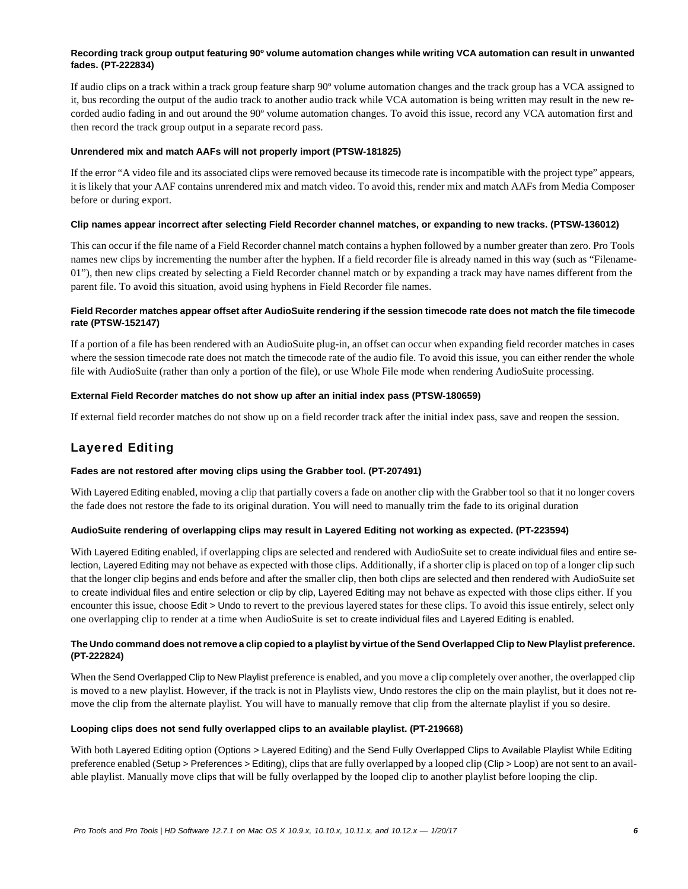### **Recording track group output featuring 90º volume automation changes while writing VCA automation can result in unwanted fades. (PT-222834)**

If audio clips on a track within a track group feature sharp 90º volume automation changes and the track group has a VCA assigned to it, bus recording the output of the audio track to another audio track while VCA automation is being written may result in the new recorded audio fading in and out around the 90º volume automation changes. To avoid this issue, record any VCA automation first and then record the track group output in a separate record pass.

#### **Unrendered mix and match AAFs will not properly import (PTSW-181825)**

If the error "A video file and its associated clips were removed because its timecode rate is incompatible with the project type" appears, it is likely that your AAF contains unrendered mix and match video. To avoid this, render mix and match AAFs from Media Composer before or during export.

#### **Clip names appear incorrect after selecting Field Recorder channel matches, or expanding to new tracks. (PTSW-136012)**

This can occur if the file name of a Field Recorder channel match contains a hyphen followed by a number greater than zero. Pro Tools names new clips by incrementing the number after the hyphen. If a field recorder file is already named in this way (such as "Filename-01"), then new clips created by selecting a Field Recorder channel match or by expanding a track may have names different from the parent file. To avoid this situation, avoid using hyphens in Field Recorder file names.

### **Field Recorder matches appear offset after AudioSuite rendering if the session timecode rate does not match the file timecode rate (PTSW-152147)**

If a portion of a file has been rendered with an AudioSuite plug-in, an offset can occur when expanding field recorder matches in cases where the session timecode rate does not match the timecode rate of the audio file. To avoid this issue, you can either render the whole file with AudioSuite (rather than only a portion of the file), or use Whole File mode when rendering AudioSuite processing.

#### **External Field Recorder matches do not show up after an initial index pass (PTSW-180659)**

If external field recorder matches do not show up on a field recorder track after the initial index pass, save and reopen the session.

# Layered Editing

# **Fades are not restored after moving clips using the Grabber tool. (PT-207491)**

With Layered Editing enabled, moving a clip that partially covers a fade on another clip with the Grabber tool so that it no longer covers the fade does not restore the fade to its original duration. You will need to manually trim the fade to its original duration

#### **AudioSuite rendering of overlapping clips may result in Layered Editing not working as expected. (PT-223594)**

With Layered Editing enabled, if overlapping clips are selected and rendered with AudioSuite set to create individual files and entire selection, Layered Editing may not behave as expected with those clips. Additionally, if a shorter clip is placed on top of a longer clip such that the longer clip begins and ends before and after the smaller clip, then both clips are selected and then rendered with AudioSuite set to create individual files and entire selection or clip by clip, Layered Editing may not behave as expected with those clips either. If you encounter this issue, choose Edit > Undo to revert to the previous layered states for these clips. To avoid this issue entirely, select only one overlapping clip to render at a time when AudioSuite is set to create individual files and Layered Editing is enabled.

#### **The Undo command does not remove a clip copied to a playlist by virtue of the Send Overlapped Clip to New Playlist preference. (PT-222824)**

When the Send Overlapped Clip to New Playlist preference is enabled, and you move a clip completely over another, the overlapped clip is moved to a new playlist. However, if the track is not in Playlists view, Undo restores the clip on the main playlist, but it does not remove the clip from the alternate playlist. You will have to manually remove that clip from the alternate playlist if you so desire.

#### **Looping clips does not send fully overlapped clips to an available playlist. (PT-219668)**

With both Layered Editing option (Options > Layered Editing) and the Send Fully Overlapped Clips to Available Playlist While Editing preference enabled (Setup > Preferences > Editing), clips that are fully overlapped by a looped clip (Clip > Loop) are not sent to an available playlist. Manually move clips that will be fully overlapped by the looped clip to another playlist before looping the clip.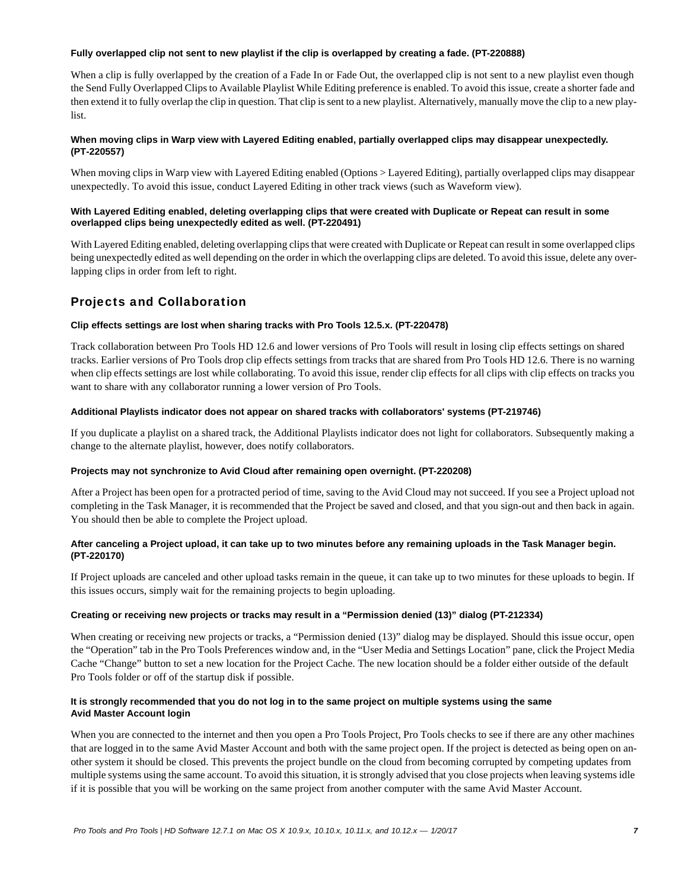#### **Fully overlapped clip not sent to new playlist if the clip is overlapped by creating a fade. (PT-220888)**

When a clip is fully overlapped by the creation of a Fade In or Fade Out, the overlapped clip is not sent to a new playlist even though the Send Fully Overlapped Clips to Available Playlist While Editing preference is enabled. To avoid this issue, create a shorter fade and then extend it to fully overlap the clip in question. That clip is sent to a new playlist. Alternatively, manually move the clip to a new playlist.

# **When moving clips in Warp view with Layered Editing enabled, partially overlapped clips may disappear unexpectedly. (PT-220557)**

When moving clips in Warp view with Layered Editing enabled (Options > Layered Editing), partially overlapped clips may disappear unexpectedly. To avoid this issue, conduct Layered Editing in other track views (such as Waveform view).

# **With Layered Editing enabled, deleting overlapping clips that were created with Duplicate or Repeat can result in some overlapped clips being unexpectedly edited as well. (PT-220491)**

With Layered Editing enabled, deleting overlapping clips that were created with Duplicate or Repeat can result in some overlapped clips being unexpectedly edited as well depending on the order in which the overlapping clips are deleted. To avoid this issue, delete any overlapping clips in order from left to right.

# Projects and Collaboration

# **Clip effects settings are lost when sharing tracks with Pro Tools 12.5.x. (PT-220478)**

Track collaboration between Pro Tools HD 12.6 and lower versions of Pro Tools will result in losing clip effects settings on shared tracks. Earlier versions of Pro Tools drop clip effects settings from tracks that are shared from Pro Tools HD 12.6. There is no warning when clip effects settings are lost while collaborating. To avoid this issue, render clip effects for all clips with clip effects on tracks you want to share with any collaborator running a lower version of Pro Tools.

#### **Additional Playlists indicator does not appear on shared tracks with collaborators' systems (PT-219746)**

If you duplicate a playlist on a shared track, the Additional Playlists indicator does not light for collaborators. Subsequently making a change to the alternate playlist, however, does notify collaborators.

#### **Projects may not synchronize to Avid Cloud after remaining open overnight. (PT-220208)**

After a Project has been open for a protracted period of time, saving to the Avid Cloud may not succeed. If you see a Project upload not completing in the Task Manager, it is recommended that the Project be saved and closed, and that you sign-out and then back in again. You should then be able to complete the Project upload.

# **After canceling a Project upload, it can take up to two minutes before any remaining uploads in the Task Manager begin. (PT-220170)**

If Project uploads are canceled and other upload tasks remain in the queue, it can take up to two minutes for these uploads to begin. If this issues occurs, simply wait for the remaining projects to begin uploading.

# **Creating or receiving new projects or tracks may result in a "Permission denied (13)" dialog (PT-212334)**

When creating or receiving new projects or tracks, a "Permission denied (13)" dialog may be displayed. Should this issue occur, open the "Operation" tab in the Pro Tools Preferences window and, in the "User Media and Settings Location" pane, click the Project Media Cache "Change" button to set a new location for the Project Cache. The new location should be a folder either outside of the default Pro Tools folder or off of the startup disk if possible.

# **It is strongly recommended that you do not log in to the same project on multiple systems using the same Avid Master Account login**

When you are connected to the internet and then you open a Pro Tools Project, Pro Tools checks to see if there are any other machines that are logged in to the same Avid Master Account and both with the same project open. If the project is detected as being open on another system it should be closed. This prevents the project bundle on the cloud from becoming corrupted by competing updates from multiple systems using the same account. To avoid this situation, it is strongly advised that you close projects when leaving systems idle if it is possible that you will be working on the same project from another computer with the same Avid Master Account.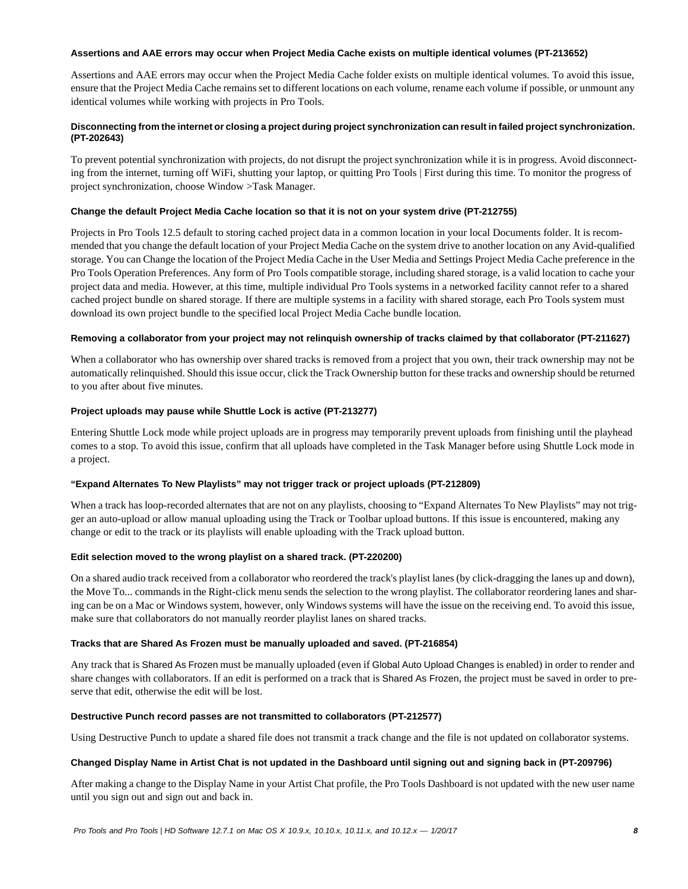#### **Assertions and AAE errors may occur when Project Media Cache exists on multiple identical volumes (PT-213652)**

Assertions and AAE errors may occur when the Project Media Cache folder exists on multiple identical volumes. To avoid this issue, ensure that the Project Media Cache remains set to different locations on each volume, rename each volume if possible, or unmount any identical volumes while working with projects in Pro Tools.

# **Disconnecting from the internet or closing a project during project synchronization can result in failed project synchronization. (PT-202643)**

To prevent potential synchronization with projects, do not disrupt the project synchronization while it is in progress. Avoid disconnecting from the internet, turning off WiFi, shutting your laptop, or quitting Pro Tools | First during this time. To monitor the progress of project synchronization, choose Window >Task Manager.

# **Change the default Project Media Cache location so that it is not on your system drive (PT-212755)**

Projects in Pro Tools 12.5 default to storing cached project data in a common location in your local Documents folder. It is recommended that you change the default location of your Project Media Cache on the system drive to another location on any Avid-qualified storage. You can Change the location of the Project Media Cache in the User Media and Settings Project Media Cache preference in the Pro Tools Operation Preferences. Any form of Pro Tools compatible storage, including shared storage, is a valid location to cache your project data and media. However, at this time, multiple individual Pro Tools systems in a networked facility cannot refer to a shared cached project bundle on shared storage. If there are multiple systems in a facility with shared storage, each Pro Tools system must download its own project bundle to the specified local Project Media Cache bundle location.

# **Removing a collaborator from your project may not relinquish ownership of tracks claimed by that collaborator (PT-211627)**

When a collaborator who has ownership over shared tracks is removed from a project that you own, their track ownership may not be automatically relinquished. Should this issue occur, click the Track Ownership button for these tracks and ownership should be returned to you after about five minutes.

# **Project uploads may pause while Shuttle Lock is active (PT-213277)**

Entering Shuttle Lock mode while project uploads are in progress may temporarily prevent uploads from finishing until the playhead comes to a stop. To avoid this issue, confirm that all uploads have completed in the Task Manager before using Shuttle Lock mode in a project.

# **"Expand Alternates To New Playlists" may not trigger track or project uploads (PT-212809)**

When a track has loop-recorded alternates that are not on any playlists, choosing to "Expand Alternates To New Playlists" may not trigger an auto-upload or allow manual uploading using the Track or Toolbar upload buttons. If this issue is encountered, making any change or edit to the track or its playlists will enable uploading with the Track upload button.

# **Edit selection moved to the wrong playlist on a shared track. (PT-220200)**

On a shared audio track received from a collaborator who reordered the track's playlist lanes (by click-dragging the lanes up and down), the Move To... commands in the Right-click menu sends the selection to the wrong playlist. The collaborator reordering lanes and sharing can be on a Mac or Windows system, however, only Windows systems will have the issue on the receiving end. To avoid this issue, make sure that collaborators do not manually reorder playlist lanes on shared tracks.

# **Tracks that are Shared As Frozen must be manually uploaded and saved. (PT-216854)**

Any track that is Shared As Frozen must be manually uploaded (even if Global Auto Upload Changes is enabled) in order to render and share changes with collaborators. If an edit is performed on a track that is Shared As Frozen, the project must be saved in order to preserve that edit, otherwise the edit will be lost.

# **Destructive Punch record passes are not transmitted to collaborators (PT-212577)**

Using Destructive Punch to update a shared file does not transmit a track change and the file is not updated on collaborator systems.

# **Changed Display Name in Artist Chat is not updated in the Dashboard until signing out and signing back in (PT-209796)**

After making a change to the Display Name in your Artist Chat profile, the Pro Tools Dashboard is not updated with the new user name until you sign out and sign out and back in.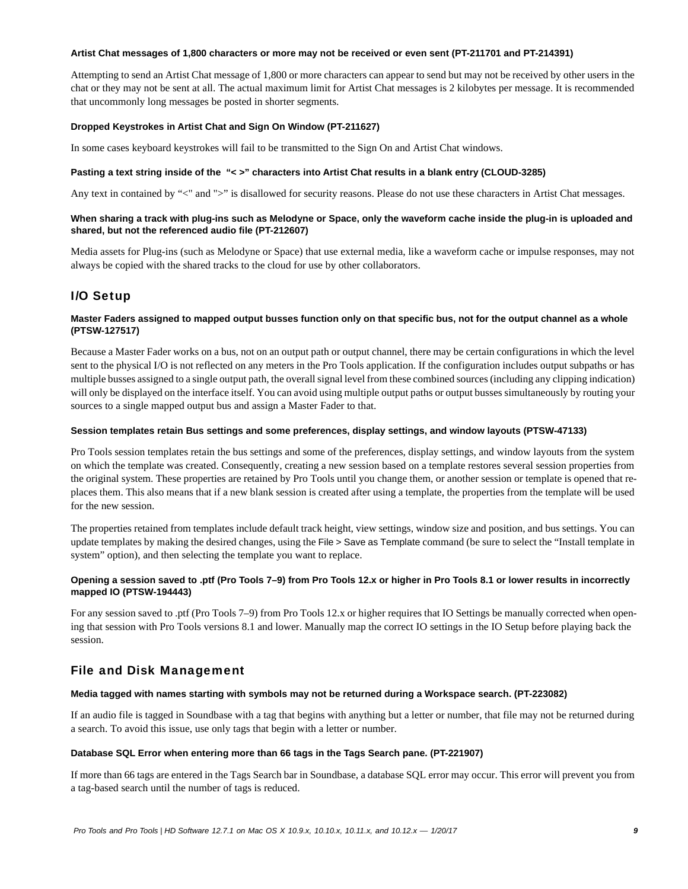#### **Artist Chat messages of 1,800 characters or more may not be received or even sent (PT-211701 and PT-214391)**

Attempting to send an Artist Chat message of 1,800 or more characters can appear to send but may not be received by other users in the chat or they may not be sent at all. The actual maximum limit for Artist Chat messages is 2 kilobytes per message. It is recommended that uncommonly long messages be posted in shorter segments.

#### **Dropped Keystrokes in Artist Chat and Sign On Window (PT-211627)**

In some cases keyboard keystrokes will fail to be transmitted to the Sign On and Artist Chat windows.

#### **Pasting a text string inside of the "< >" characters into Artist Chat results in a blank entry (CLOUD-3285)**

Any text in contained by "<" and ">" is disallowed for security reasons. Please do not use these characters in Artist Chat messages.

#### **When sharing a track with plug-ins such as Melodyne or Space, only the waveform cache inside the plug-in is uploaded and shared, but not the referenced audio file (PT-212607)**

Media assets for Plug-ins (such as Melodyne or Space) that use external media, like a waveform cache or impulse responses, may not always be copied with the shared tracks to the cloud for use by other collaborators.

# I/O Setup

#### **Master Faders assigned to mapped output busses function only on that specific bus, not for the output channel as a whole (PTSW-127517)**

Because a Master Fader works on a bus, not on an output path or output channel, there may be certain configurations in which the level sent to the physical I/O is not reflected on any meters in the Pro Tools application. If the configuration includes output subpaths or has multiple busses assigned to a single output path, the overall signal level from these combined sources (including any clipping indication) will only be displayed on the interface itself. You can avoid using multiple output paths or output busses simultaneously by routing your sources to a single mapped output bus and assign a Master Fader to that.

#### **Session templates retain Bus settings and some preferences, display settings, and window layouts (PTSW-47133)**

Pro Tools session templates retain the bus settings and some of the preferences, display settings, and window layouts from the system on which the template was created. Consequently, creating a new session based on a template restores several session properties from the original system. These properties are retained by Pro Tools until you change them, or another session or template is opened that replaces them. This also means that if a new blank session is created after using a template, the properties from the template will be used for the new session.

The properties retained from templates include default track height, view settings, window size and position, and bus settings. You can update templates by making the desired changes, using the File > Save as Template command (be sure to select the "Install template in system" option), and then selecting the template you want to replace.

### **Opening a session saved to .ptf (Pro Tools 7–9) from Pro Tools 12.x or higher in Pro Tools 8.1 or lower results in incorrectly mapped IO (PTSW-194443)**

For any session saved to .ptf (Pro Tools 7–9) from Pro Tools 12.x or higher requires that IO Settings be manually corrected when opening that session with Pro Tools versions 8.1 and lower. Manually map the correct IO settings in the IO Setup before playing back the session.

# File and Disk Management

#### **Media tagged with names starting with symbols may not be returned during a Workspace search. (PT-223082)**

If an audio file is tagged in Soundbase with a tag that begins with anything but a letter or number, that file may not be returned during a search. To avoid this issue, use only tags that begin with a letter or number.

# **Database SQL Error when entering more than 66 tags in the Tags Search pane. (PT-221907)**

If more than 66 tags are entered in the Tags Search bar in Soundbase, a database SQL error may occur. This error will prevent you from a tag-based search until the number of tags is reduced.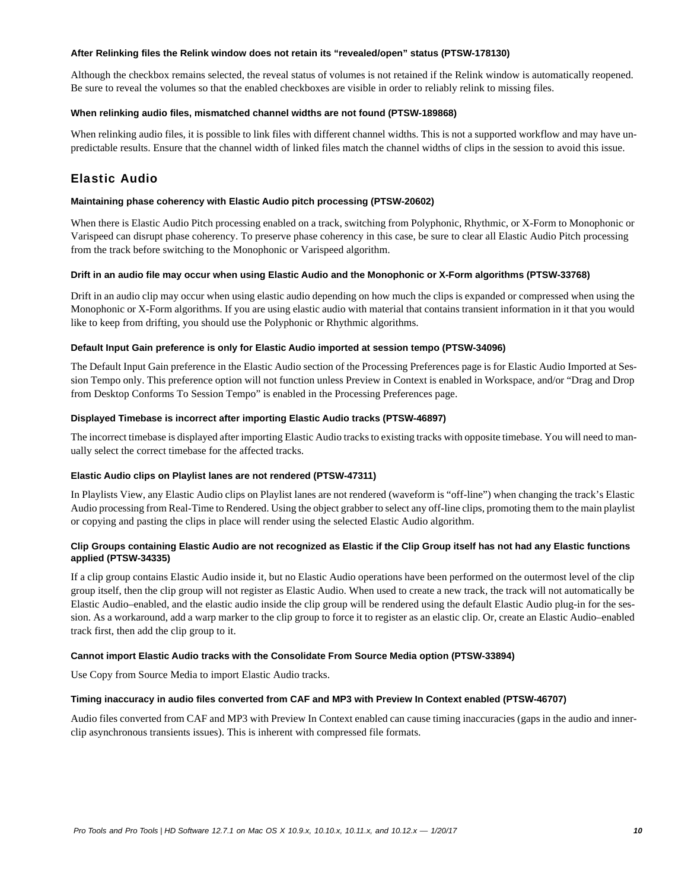#### **After Relinking files the Relink window does not retain its "revealed/open" status (PTSW-178130)**

Although the checkbox remains selected, the reveal status of volumes is not retained if the Relink window is automatically reopened. Be sure to reveal the volumes so that the enabled checkboxes are visible in order to reliably relink to missing files.

### **When relinking audio files, mismatched channel widths are not found (PTSW-189868)**

When relinking audio files, it is possible to link files with different channel widths. This is not a supported workflow and may have unpredictable results. Ensure that the channel width of linked files match the channel widths of clips in the session to avoid this issue.

# Elastic Audio

### **Maintaining phase coherency with Elastic Audio pitch processing (PTSW-20602)**

When there is Elastic Audio Pitch processing enabled on a track, switching from Polyphonic, Rhythmic, or X-Form to Monophonic or Varispeed can disrupt phase coherency. To preserve phase coherency in this case, be sure to clear all Elastic Audio Pitch processing from the track before switching to the Monophonic or Varispeed algorithm.

#### **Drift in an audio file may occur when using Elastic Audio and the Monophonic or X-Form algorithms (PTSW-33768)**

Drift in an audio clip may occur when using elastic audio depending on how much the clips is expanded or compressed when using the Monophonic or X-Form algorithms. If you are using elastic audio with material that contains transient information in it that you would like to keep from drifting, you should use the Polyphonic or Rhythmic algorithms.

#### **Default Input Gain preference is only for Elastic Audio imported at session tempo (PTSW-34096)**

The Default Input Gain preference in the Elastic Audio section of the Processing Preferences page is for Elastic Audio Imported at Session Tempo only. This preference option will not function unless Preview in Context is enabled in Workspace, and/or "Drag and Drop from Desktop Conforms To Session Tempo" is enabled in the Processing Preferences page.

#### **Displayed Timebase is incorrect after importing Elastic Audio tracks (PTSW-46897)**

The incorrect timebase is displayed after importing Elastic Audio tracks to existing tracks with opposite timebase. You will need to manually select the correct timebase for the affected tracks.

# **Elastic Audio clips on Playlist lanes are not rendered (PTSW-47311)**

In Playlists View, any Elastic Audio clips on Playlist lanes are not rendered (waveform is "off-line") when changing the track's Elastic Audio processing from Real-Time to Rendered. Using the object grabber to select any off-line clips, promoting them to the main playlist or copying and pasting the clips in place will render using the selected Elastic Audio algorithm.

# **Clip Groups containing Elastic Audio are not recognized as Elastic if the Clip Group itself has not had any Elastic functions applied (PTSW-34335)**

If a clip group contains Elastic Audio inside it, but no Elastic Audio operations have been performed on the outermost level of the clip group itself, then the clip group will not register as Elastic Audio. When used to create a new track, the track will not automatically be Elastic Audio–enabled, and the elastic audio inside the clip group will be rendered using the default Elastic Audio plug-in for the session. As a workaround, add a warp marker to the clip group to force it to register as an elastic clip. Or, create an Elastic Audio–enabled track first, then add the clip group to it.

#### **Cannot import Elastic Audio tracks with the Consolidate From Source Media option (PTSW-33894)**

Use Copy from Source Media to import Elastic Audio tracks.

#### **Timing inaccuracy in audio files converted from CAF and MP3 with Preview In Context enabled (PTSW-46707)**

Audio files converted from CAF and MP3 with Preview In Context enabled can cause timing inaccuracies (gaps in the audio and innerclip asynchronous transients issues). This is inherent with compressed file formats.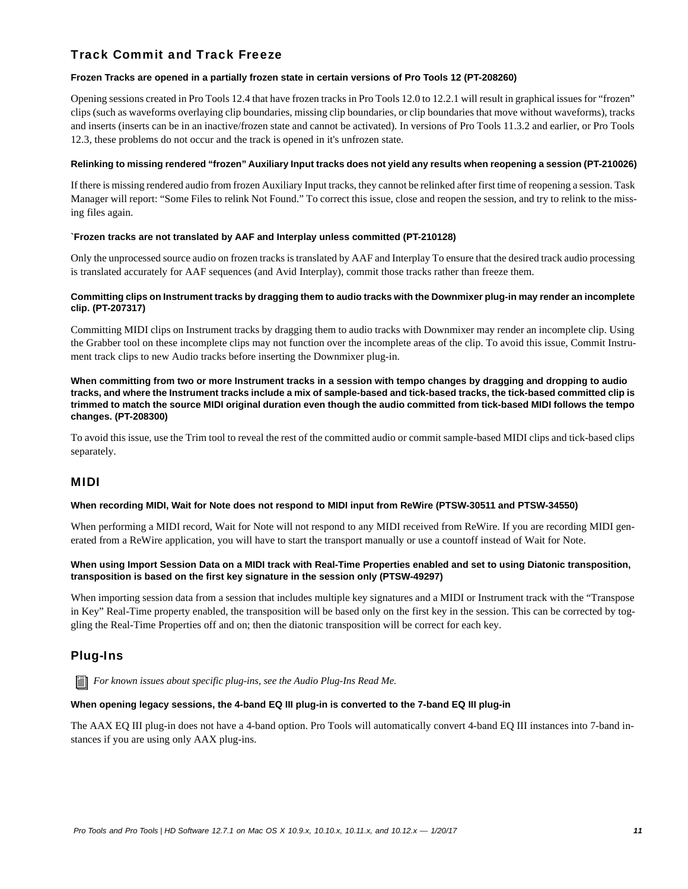# Track Commit and Track Freeze

# **Frozen Tracks are opened in a partially frozen state in certain versions of Pro Tools 12 (PT-208260)**

Opening sessions created in Pro Tools 12.4 that have frozen tracks in Pro Tools 12.0 to 12.2.1 will result in graphical issues for "frozen" clips (such as waveforms overlaying clip boundaries, missing clip boundaries, or clip boundaries that move without waveforms), tracks and inserts (inserts can be in an inactive/frozen state and cannot be activated). In versions of Pro Tools 11.3.2 and earlier, or Pro Tools 12.3, these problems do not occur and the track is opened in it's unfrozen state.

#### **Relinking to missing rendered "frozen" Auxiliary Input tracks does not yield any results when reopening a session (PT-210026)**

If there is missing rendered audio from frozen Auxiliary Input tracks, they cannot be relinked after first time of reopening a session. Task Manager will report: "Some Files to relink Not Found." To correct this issue, close and reopen the session, and try to relink to the missing files again.

# **`Frozen tracks are not translated by AAF and Interplay unless committed (PT-210128)**

Only the unprocessed source audio on frozen tracks is translated by AAF and Interplay To ensure that the desired track audio processing is translated accurately for AAF sequences (and Avid Interplay), commit those tracks rather than freeze them.

# **Committing clips on Instrument tracks by dragging them to audio tracks with the Downmixer plug-in may render an incomplete clip. (PT-207317)**

Committing MIDI clips on Instrument tracks by dragging them to audio tracks with Downmixer may render an incomplete clip. Using the Grabber tool on these incomplete clips may not function over the incomplete areas of the clip. To avoid this issue, Commit Instrument track clips to new Audio tracks before inserting the Downmixer plug-in.

**When committing from two or more Instrument tracks in a session with tempo changes by dragging and dropping to audio tracks, and where the Instrument tracks include a mix of sample-based and tick-based tracks, the tick-based committed clip is trimmed to match the source MIDI original duration even though the audio committed from tick-based MIDI follows the tempo changes. (PT-208300)**

To avoid this issue, use the Trim tool to reveal the rest of the committed audio or commit sample-based MIDI clips and tick-based clips separately.

# MIDI

# **When recording MIDI, Wait for Note does not respond to MIDI input from ReWire (PTSW-30511 and PTSW-34550)**

When performing a MIDI record, Wait for Note will not respond to any MIDI received from ReWire. If you are recording MIDI generated from a ReWire application, you will have to start the transport manually or use a countoff instead of Wait for Note.

#### **When using Import Session Data on a MIDI track with Real-Time Properties enabled and set to using Diatonic transposition, transposition is based on the first key signature in the session only (PTSW-49297)**

When importing session data from a session that includes multiple key signatures and a MIDI or Instrument track with the "Transpose in Key" Real-Time property enabled, the transposition will be based only on the first key in the session. This can be corrected by toggling the Real-Time Properties off and on; then the diatonic transposition will be correct for each key.

# Plug-Ins

**For known issues about specific plug-ins, see the Audio Plug-Ins Read Me.** 

#### **When opening legacy sessions, the 4-band EQ III plug-in is converted to the 7-band EQ III plug-in**

The AAX EQ III plug-in does not have a 4-band option. Pro Tools will automatically convert 4-band EQ III instances into 7-band instances if you are using only AAX plug-ins.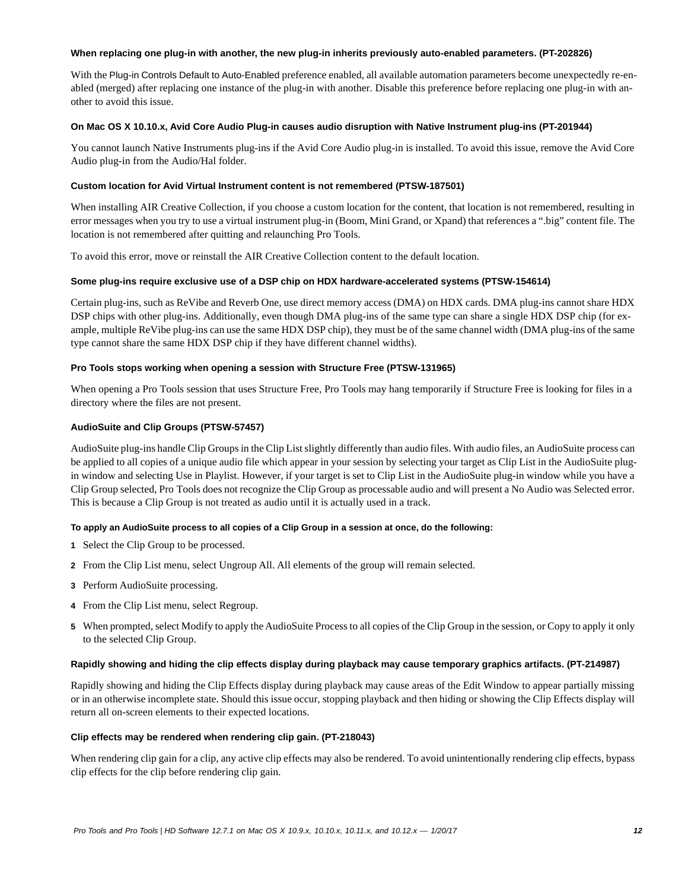#### **When replacing one plug-in with another, the new plug-in inherits previously auto-enabled parameters. (PT-202826)**

With the Plug-in Controls Default to Auto-Enabled preference enabled, all available automation parameters become unexpectedly re-enabled (merged) after replacing one instance of the plug-in with another. Disable this preference before replacing one plug-in with another to avoid this issue.

### **On Mac OS X 10.10.x, Avid Core Audio Plug-in causes audio disruption with Native Instrument plug-ins (PT-201944)**

You cannot launch Native Instruments plug-ins if the Avid Core Audio plug-in is installed. To avoid this issue, remove the Avid Core Audio plug-in from the Audio/Hal folder.

### **Custom location for Avid Virtual Instrument content is not remembered (PTSW-187501)**

When installing AIR Creative Collection, if you choose a custom location for the content, that location is not remembered, resulting in error messages when you try to use a virtual instrument plug-in (Boom, Mini Grand, or Xpand) that references a ".big" content file. The location is not remembered after quitting and relaunching Pro Tools.

To avoid this error, move or reinstall the AIR Creative Collection content to the default location.

#### **Some plug-ins require exclusive use of a DSP chip on HDX hardware-accelerated systems (PTSW-154614)**

Certain plug-ins, such as ReVibe and Reverb One, use direct memory access (DMA) on HDX cards. DMA plug-ins cannot share HDX DSP chips with other plug-ins. Additionally, even though DMA plug-ins of the same type can share a single HDX DSP chip (for example, multiple ReVibe plug-ins can use the same HDX DSP chip), they must be of the same channel width (DMA plug-ins of the same type cannot share the same HDX DSP chip if they have different channel widths).

#### **Pro Tools stops working when opening a session with Structure Free (PTSW-131965)**

When opening a Pro Tools session that uses Structure Free, Pro Tools may hang temporarily if Structure Free is looking for files in a directory where the files are not present.

#### **AudioSuite and Clip Groups (PTSW-57457)**

AudioSuite plug-ins handle Clip Groups in the Clip List slightly differently than audio files. With audio files, an AudioSuite process can be applied to all copies of a unique audio file which appear in your session by selecting your target as Clip List in the AudioSuite plugin window and selecting Use in Playlist. However, if your target is set to Clip List in the AudioSuite plug-in window while you have a Clip Group selected, Pro Tools does not recognize the Clip Group as processable audio and will present a No Audio was Selected error. This is because a Clip Group is not treated as audio until it is actually used in a track.

# **To apply an AudioSuite process to all copies of a Clip Group in a session at once, do the following:**

- **1** Select the Clip Group to be processed.
- **2** From the Clip List menu, select Ungroup All. All elements of the group will remain selected.
- **3** Perform AudioSuite processing.
- **4** From the Clip List menu, select Regroup.
- **5** When prompted, select Modify to apply the AudioSuite Process to all copies of the Clip Group in the session, or Copy to apply it only to the selected Clip Group.

#### **Rapidly showing and hiding the clip effects display during playback may cause temporary graphics artifacts. (PT-214987)**

Rapidly showing and hiding the Clip Effects display during playback may cause areas of the Edit Window to appear partially missing or in an otherwise incomplete state. Should this issue occur, stopping playback and then hiding or showing the Clip Effects display will return all on-screen elements to their expected locations.

#### **Clip effects may be rendered when rendering clip gain. (PT-218043)**

When rendering clip gain for a clip, any active clip effects may also be rendered. To avoid unintentionally rendering clip effects, bypass clip effects for the clip before rendering clip gain.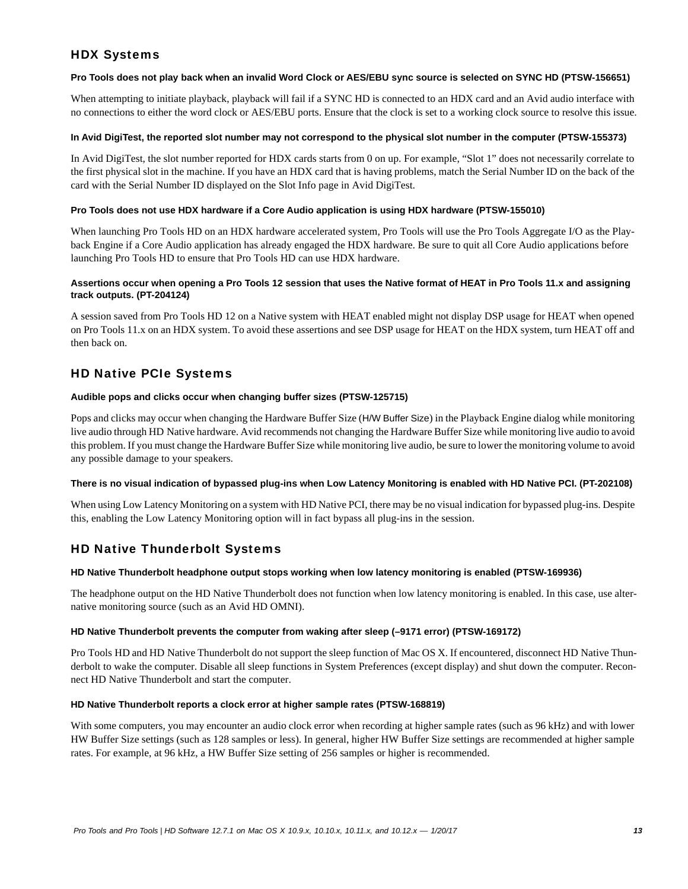# HDX Systems

### **Pro Tools does not play back when an invalid Word Clock or AES/EBU sync source is selected on SYNC HD (PTSW-156651)**

When attempting to initiate playback, playback will fail if a SYNC HD is connected to an HDX card and an Avid audio interface with no connections to either the word clock or AES/EBU ports. Ensure that the clock is set to a working clock source to resolve this issue.

### **In Avid DigiTest, the reported slot number may not correspond to the physical slot number in the computer (PTSW-155373)**

In Avid DigiTest, the slot number reported for HDX cards starts from 0 on up. For example, "Slot 1" does not necessarily correlate to the first physical slot in the machine. If you have an HDX card that is having problems, match the Serial Number ID on the back of the card with the Serial Number ID displayed on the Slot Info page in Avid DigiTest.

### **Pro Tools does not use HDX hardware if a Core Audio application is using HDX hardware (PTSW-155010)**

When launching Pro Tools HD on an HDX hardware accelerated system, Pro Tools will use the Pro Tools Aggregate I/O as the Playback Engine if a Core Audio application has already engaged the HDX hardware. Be sure to quit all Core Audio applications before launching Pro Tools HD to ensure that Pro Tools HD can use HDX hardware.

# **Assertions occur when opening a Pro Tools 12 session that uses the Native format of HEAT in Pro Tools 11.x and assigning track outputs. (PT-204124)**

A session saved from Pro Tools HD 12 on a Native system with HEAT enabled might not display DSP usage for HEAT when opened on Pro Tools 11.x on an HDX system. To avoid these assertions and see DSP usage for HEAT on the HDX system, turn HEAT off and then back on.

# HD Native PCIe Systems

#### **Audible pops and clicks occur when changing buffer sizes (PTSW-125715)**

Pops and clicks may occur when changing the Hardware Buffer Size (H/W Buffer Size) in the Playback Engine dialog while monitoring live audio through HD Native hardware. Avid recommends not changing the Hardware Buffer Size while monitoring live audio to avoid this problem. If you must change the Hardware Buffer Size while monitoring live audio, be sure to lower the monitoring volume to avoid any possible damage to your speakers.

# **There is no visual indication of bypassed plug-ins when Low Latency Monitoring is enabled with HD Native PCI. (PT-202108)**

When using Low Latency Monitoring on a system with HD Native PCI, there may be no visual indication for bypassed plug-ins. Despite this, enabling the Low Latency Monitoring option will in fact bypass all plug-ins in the session.

# HD Native Thunderbolt Systems

# **HD Native Thunderbolt headphone output stops working when low latency monitoring is enabled (PTSW-169936)**

The headphone output on the HD Native Thunderbolt does not function when low latency monitoring is enabled. In this case, use alternative monitoring source (such as an Avid HD OMNI).

# **HD Native Thunderbolt prevents the computer from waking after sleep (–9171 error) (PTSW-169172)**

Pro Tools HD and HD Native Thunderbolt do not support the sleep function of Mac OS X. If encountered, disconnect HD Native Thunderbolt to wake the computer. Disable all sleep functions in System Preferences (except display) and shut down the computer. Reconnect HD Native Thunderbolt and start the computer.

#### **HD Native Thunderbolt reports a clock error at higher sample rates (PTSW-168819)**

With some computers, you may encounter an audio clock error when recording at higher sample rates (such as 96 kHz) and with lower HW Buffer Size settings (such as 128 samples or less). In general, higher HW Buffer Size settings are recommended at higher sample rates. For example, at 96 kHz, a HW Buffer Size setting of 256 samples or higher is recommended.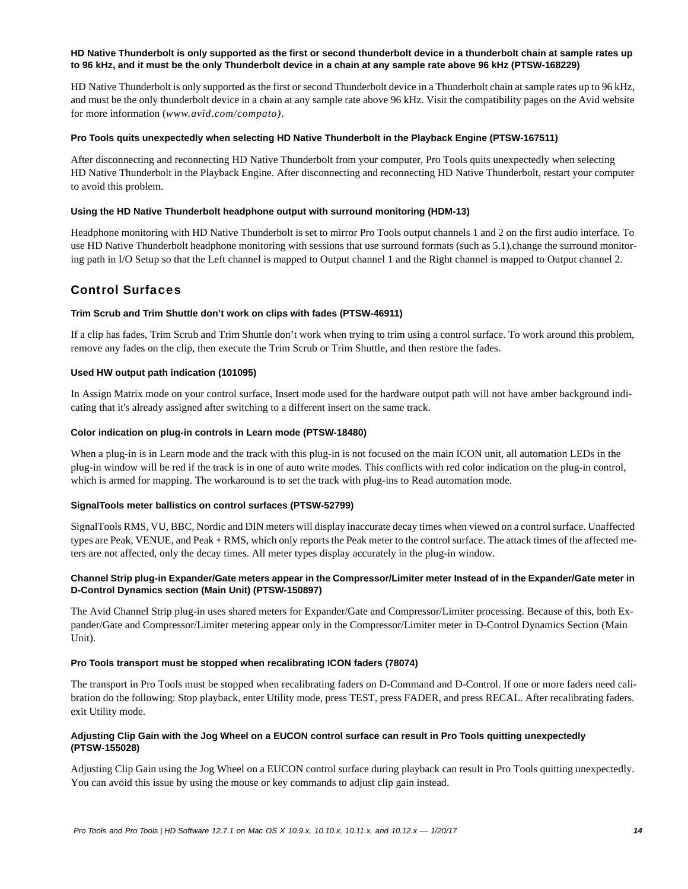### **HD Native Thunderbolt is only supported as the first or second thunderbolt device in a thunderbolt chain at sample rates up to 96 kHz, and it must be the only Thunderbolt device in a chain at any sample rate above 96 kHz (PTSW-168229)**

HD Native Thunderbolt is only supported as the first or second Thunderbolt device in a Thunderbolt chain at sample rates up to 96 kHz, and must be the only thunderbolt device in a chain at any sample rate above 96 kHz. Visit the compatibility pages on the Avid website for more information (*www.avid.com/compato)*.

#### **Pro Tools quits unexpectedly when selecting HD Native Thunderbolt in the Playback Engine (PTSW-167511)**

After disconnecting and reconnecting HD Native Thunderbolt from your computer, Pro Tools quits unexpectedly when selecting HD Native Thunderbolt in the Playback Engine. After disconnecting and reconnecting HD Native Thunderbolt, restart your computer to avoid this problem.

#### **Using the HD Native Thunderbolt headphone output with surround monitoring (HDM-13)**

Headphone monitoring with HD Native Thunderbolt is set to mirror Pro Tools output channels 1 and 2 on the first audio interface. To use HD Native Thunderbolt headphone monitoring with sessions that use surround formats (such as 5.1), change the surround monitoring path in I/O Setup so that the Left channel is mapped to Output channel 1 and the Right channel is mapped to Output channel 2.

# Control Surfaces

# **Trim Scrub and Trim Shuttle don't work on clips with fades (PTSW-46911)**

If a clip has fades, Trim Scrub and Trim Shuttle don't work when trying to trim using a control surface. To work around this problem, remove any fades on the clip, then execute the Trim Scrub or Trim Shuttle, and then restore the fades.

#### **Used HW output path indication (101095)**

In Assign Matrix mode on your control surface, Insert mode used for the hardware output path will not have amber background indicating that it's already assigned after switching to a different insert on the same track.

#### **Color indication on plug-in controls in Learn mode (PTSW-18480)**

When a plug-in is in Learn mode and the track with this plug-in is not focused on the main ICON unit, all automation LEDs in the plug-in window will be red if the track is in one of auto write modes. This conflicts with red color indication on the plug-in control, which is armed for mapping. The workaround is to set the track with plug-ins to Read automation mode.

#### **SignalTools meter ballistics on control surfaces (PTSW-52799)**

SignalTools RMS, VU, BBC, Nordic and DIN meters will display inaccurate decay times when viewed on a control surface. Unaffected types are Peak, VENUE, and Peak + RMS, which only reports the Peak meter to the control surface. The attack times of the affected meters are not affected, only the decay times. All meter types display accurately in the plug-in window.

# **Channel Strip plug-in Expander/Gate meters appear in the Compressor/Limiter meter Instead of in the Expander/Gate meter in D-Control Dynamics section (Main Unit) (PTSW-150897)**

The Avid Channel Strip plug-in uses shared meters for Expander/Gate and Compressor/Limiter processing. Because of this, both Expander/Gate and Compressor/Limiter metering appear only in the Compressor/Limiter meter in D-Control Dynamics Section (Main Unit).

#### **Pro Tools transport must be stopped when recalibrating ICON faders (78074)**

The transport in Pro Tools must be stopped when recalibrating faders on D-Command and D-Control. If one or more faders need calibration do the following: Stop playback, enter Utility mode, press TEST, press FADER, and press RECAL. After recalibrating faders. exit Utility mode.

# **Adjusting Clip Gain with the Jog Wheel on a EUCON control surface can result in Pro Tools quitting unexpectedly (PTSW-155028)**

Adjusting Clip Gain using the Jog Wheel on a EUCON control surface during playback can result in Pro Tools quitting unexpectedly. You can avoid this issue by using the mouse or key commands to adjust clip gain instead.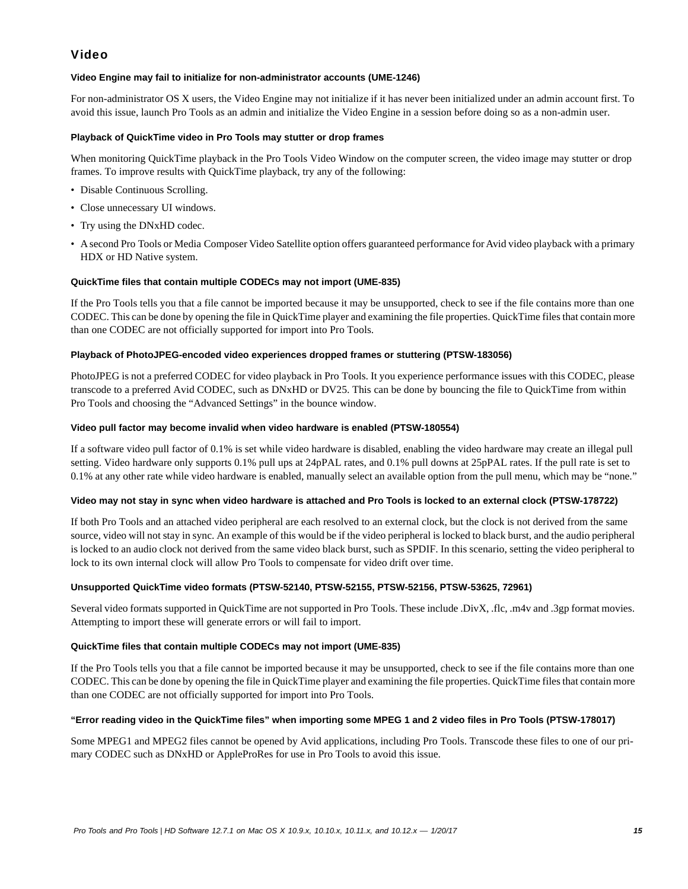# Video

# **Video Engine may fail to initialize for non-administrator accounts (UME-1246)**

For non-administrator OS X users, the Video Engine may not initialize if it has never been initialized under an admin account first. To avoid this issue, launch Pro Tools as an admin and initialize the Video Engine in a session before doing so as a non-admin user.

# **Playback of QuickTime video in Pro Tools may stutter or drop frames**

When monitoring QuickTime playback in the Pro Tools Video Window on the computer screen, the video image may stutter or drop frames. To improve results with QuickTime playback, try any of the following:

- Disable Continuous Scrolling.
- Close unnecessary UI windows.
- Try using the DNxHD codec.
- A second Pro Tools or Media Composer Video Satellite option offers guaranteed performance for Avid video playback with a primary HDX or HD Native system.

# **QuickTime files that contain multiple CODECs may not import (UME-835)**

If the Pro Tools tells you that a file cannot be imported because it may be unsupported, check to see if the file contains more than one CODEC. This can be done by opening the file in QuickTime player and examining the file properties. QuickTime files that contain more than one CODEC are not officially supported for import into Pro Tools.

# **Playback of PhotoJPEG-encoded video experiences dropped frames or stuttering (PTSW-183056)**

PhotoJPEG is not a preferred CODEC for video playback in Pro Tools. It you experience performance issues with this CODEC, please transcode to a preferred Avid CODEC, such as DNxHD or DV25. This can be done by bouncing the file to QuickTime from within Pro Tools and choosing the "Advanced Settings" in the bounce window.

# **Video pull factor may become invalid when video hardware is enabled (PTSW-180554)**

If a software video pull factor of 0.1% is set while video hardware is disabled, enabling the video hardware may create an illegal pull setting. Video hardware only supports 0.1% pull ups at 24pPAL rates, and 0.1% pull downs at 25pPAL rates. If the pull rate is set to 0.1% at any other rate while video hardware is enabled, manually select an available option from the pull menu, which may be "none."

# **Video may not stay in sync when video hardware is attached and Pro Tools is locked to an external clock (PTSW-178722)**

If both Pro Tools and an attached video peripheral are each resolved to an external clock, but the clock is not derived from the same source, video will not stay in sync. An example of this would be if the video peripheral is locked to black burst, and the audio peripheral is locked to an audio clock not derived from the same video black burst, such as SPDIF. In this scenario, setting the video peripheral to lock to its own internal clock will allow Pro Tools to compensate for video drift over time.

# **Unsupported QuickTime video formats (PTSW-52140, PTSW-52155, PTSW-52156, PTSW-53625, 72961)**

Several video formats supported in QuickTime are not supported in Pro Tools. These include .DivX, .flc, .m4v and .3gp format movies. Attempting to import these will generate errors or will fail to import.

# **QuickTime files that contain multiple CODECs may not import (UME-835)**

If the Pro Tools tells you that a file cannot be imported because it may be unsupported, check to see if the file contains more than one CODEC. This can be done by opening the file in QuickTime player and examining the file properties. QuickTime files that contain more than one CODEC are not officially supported for import into Pro Tools.

# **"Error reading video in the QuickTime files" when importing some MPEG 1 and 2 video files in Pro Tools (PTSW-178017)**

Some MPEG1 and MPEG2 files cannot be opened by Avid applications, including Pro Tools. Transcode these files to one of our primary CODEC such as DNxHD or AppleProRes for use in Pro Tools to avoid this issue.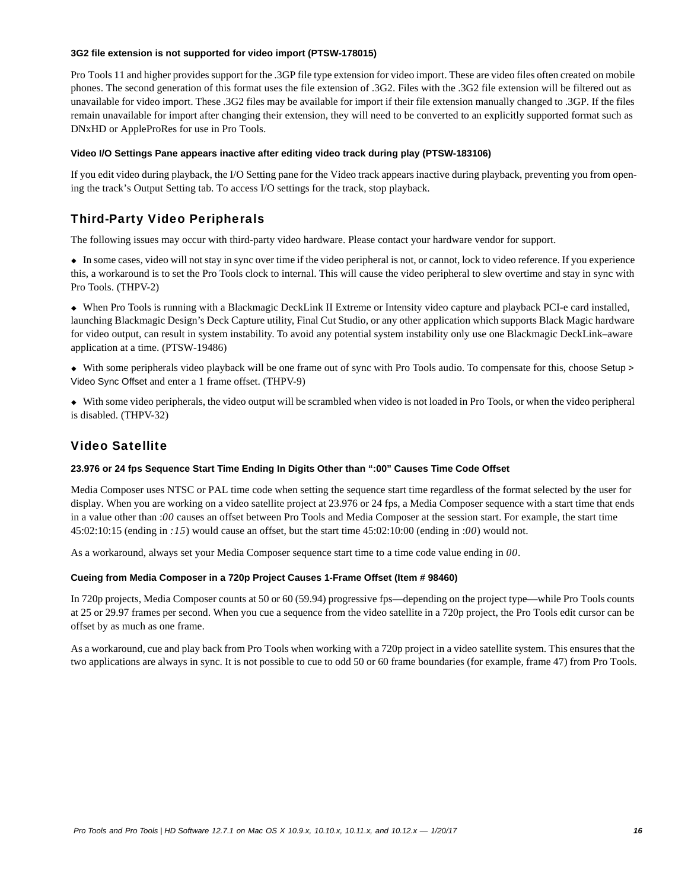#### **3G2 file extension is not supported for video import (PTSW-178015)**

Pro Tools 11 and higher provides support for the .3GP file type extension for video import. These are video files often created on mobile phones. The second generation of this format uses the file extension of .3G2. Files with the .3G2 file extension will be filtered out as unavailable for video import. These .3G2 files may be available for import if their file extension manually changed to .3GP. If the files remain unavailable for import after changing their extension, they will need to be converted to an explicitly supported format such as DNxHD or AppleProRes for use in Pro Tools.

# **Video I/O Settings Pane appears inactive after editing video track during play (PTSW-183106)**

If you edit video during playback, the I/O Setting pane for the Video track appears inactive during playback, preventing you from opening the track's Output Setting tab. To access I/O settings for the track, stop playback.

# Third-Party Video Peripherals

The following issues may occur with third-party video hardware. Please contact your hardware vendor for support.

 In some cases, video will not stay in sync over time if the video peripheral is not, or cannot, lock to video reference. If you experience this, a workaround is to set the Pro Tools clock to internal. This will cause the video peripheral to slew overtime and stay in sync with Pro Tools. (THPV-2)

 When Pro Tools is running with a Blackmagic DeckLink II Extreme or Intensity video capture and playback PCI-e card installed, launching Blackmagic Design's Deck Capture utility, Final Cut Studio, or any other application which supports Black Magic hardware for video output, can result in system instability. To avoid any potential system instability only use one Blackmagic DeckLink–aware application at a time. (PTSW-19486)

 With some peripherals video playback will be one frame out of sync with Pro Tools audio. To compensate for this, choose Setup > Video Sync Offset and enter a 1 frame offset. (THPV-9)

 With some video peripherals, the video output will be scrambled when video is not loaded in Pro Tools, or when the video peripheral is disabled. (THPV-32)

# Video Satellite

# **23.976 or 24 fps Sequence Start Time Ending In Digits Other than ":00" Causes Time Code Offset**

Media Composer uses NTSC or PAL time code when setting the sequence start time regardless of the format selected by the user for display. When you are working on a video satellite project at 23.976 or 24 fps, a Media Composer sequence with a start time that ends in a value other than :*00* causes an offset between Pro Tools and Media Composer at the session start. For example, the start time 45:02:10:15 (ending in *:15*) would cause an offset, but the start time 45:02:10:00 (ending in :*00*) would not.

As a workaround, always set your Media Composer sequence start time to a time code value ending in *00*.

# **Cueing from Media Composer in a 720p Project Causes 1-Frame Offset (Item # 98460)**

In 720p projects, Media Composer counts at 50 or 60 (59.94) progressive fps—depending on the project type—while Pro Tools counts at 25 or 29.97 frames per second. When you cue a sequence from the video satellite in a 720p project, the Pro Tools edit cursor can be offset by as much as one frame.

As a workaround, cue and play back from Pro Tools when working with a 720p project in a video satellite system. This ensures that the two applications are always in sync. It is not possible to cue to odd 50 or 60 frame boundaries (for example, frame 47) from Pro Tools.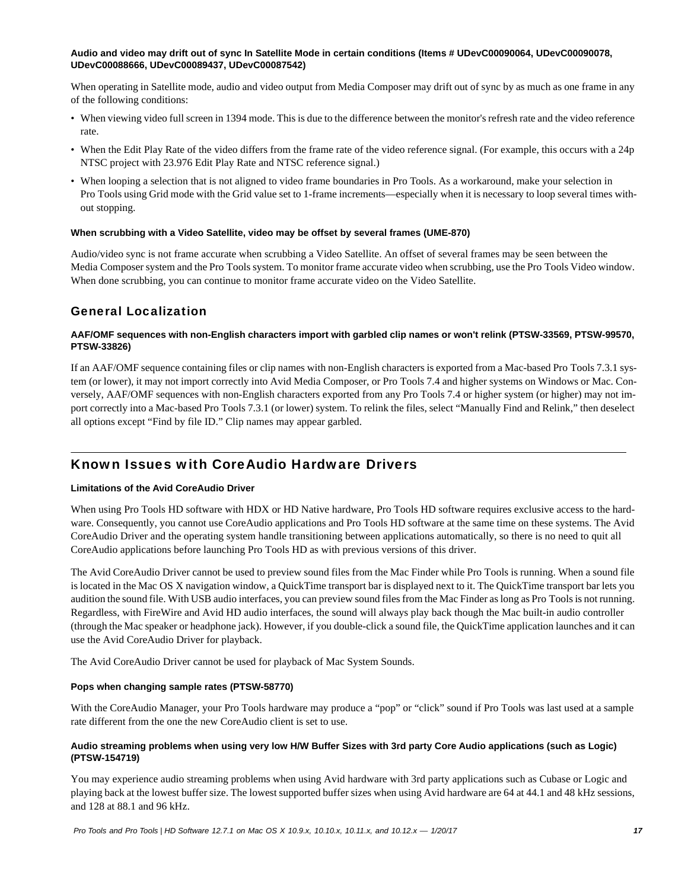# **Audio and video may drift out of sync In Satellite Mode in certain conditions (Items # UDevC00090064, UDevC00090078, UDevC00088666, UDevC00089437, UDevC00087542)**

When operating in Satellite mode, audio and video output from Media Composer may drift out of sync by as much as one frame in any of the following conditions:

- When viewing video full screen in 1394 mode. This is due to the difference between the monitor's refresh rate and the video reference rate.
- When the Edit Play Rate of the video differs from the frame rate of the video reference signal. (For example, this occurs with a 24p NTSC project with 23.976 Edit Play Rate and NTSC reference signal.)
- When looping a selection that is not aligned to video frame boundaries in Pro Tools. As a workaround, make your selection in Pro Tools using Grid mode with the Grid value set to 1-frame increments—especially when it is necessary to loop several times without stopping.

#### **When scrubbing with a Video Satellite, video may be offset by several frames (UME-870)**

Audio/video sync is not frame accurate when scrubbing a Video Satellite. An offset of several frames may be seen between the Media Composer system and the Pro Tools system. To monitor frame accurate video when scrubbing, use the Pro Tools Video window. When done scrubbing, you can continue to monitor frame accurate video on the Video Satellite.

# General Localization

# **AAF/OMF sequences with non-English characters import with garbled clip names or won't relink (PTSW-33569, PTSW-99570, PTSW-33826)**

If an AAF/OMF sequence containing files or clip names with non-English characters is exported from a Mac-based Pro Tools 7.3.1 system (or lower), it may not import correctly into Avid Media Composer, or Pro Tools 7.4 and higher systems on Windows or Mac. Conversely, AAF/OMF sequences with non-English characters exported from any Pro Tools 7.4 or higher system (or higher) may not import correctly into a Mac-based Pro Tools 7.3.1 (or lower) system. To relink the files, select "Manually Find and Relink," then deselect all options except "Find by file ID." Clip names may appear garbled.

# Known Issues with CoreAudio Hardware Drivers

# **Limitations of the Avid CoreAudio Driver**

When using Pro Tools HD software with HDX or HD Native hardware, Pro Tools HD software requires exclusive access to the hardware. Consequently, you cannot use CoreAudio applications and Pro Tools HD software at the same time on these systems. The Avid CoreAudio Driver and the operating system handle transitioning between applications automatically, so there is no need to quit all CoreAudio applications before launching Pro Tools HD as with previous versions of this driver.

The Avid CoreAudio Driver cannot be used to preview sound files from the Mac Finder while Pro Tools is running. When a sound file is located in the Mac OS X navigation window, a QuickTime transport bar is displayed next to it. The QuickTime transport bar lets you audition the sound file. With USB audio interfaces, you can preview sound files from the Mac Finder as long as Pro Tools is not running. Regardless, with FireWire and Avid HD audio interfaces, the sound will always play back though the Mac built-in audio controller (through the Mac speaker or headphone jack). However, if you double-click a sound file, the QuickTime application launches and it can use the Avid CoreAudio Driver for playback.

The Avid CoreAudio Driver cannot be used for playback of Mac System Sounds.

# **Pops when changing sample rates (PTSW-58770)**

With the CoreAudio Manager, your Pro Tools hardware may produce a "pop" or "click" sound if Pro Tools was last used at a sample rate different from the one the new CoreAudio client is set to use.

# **Audio streaming problems when using very low H/W Buffer Sizes with 3rd party Core Audio applications (such as Logic) (PTSW-154719)**

You may experience audio streaming problems when using Avid hardware with 3rd party applications such as Cubase or Logic and playing back at the lowest buffer size. The lowest supported buffer sizes when using Avid hardware are 64 at 44.1 and 48 kHz sessions, and 128 at 88.1 and 96 kHz.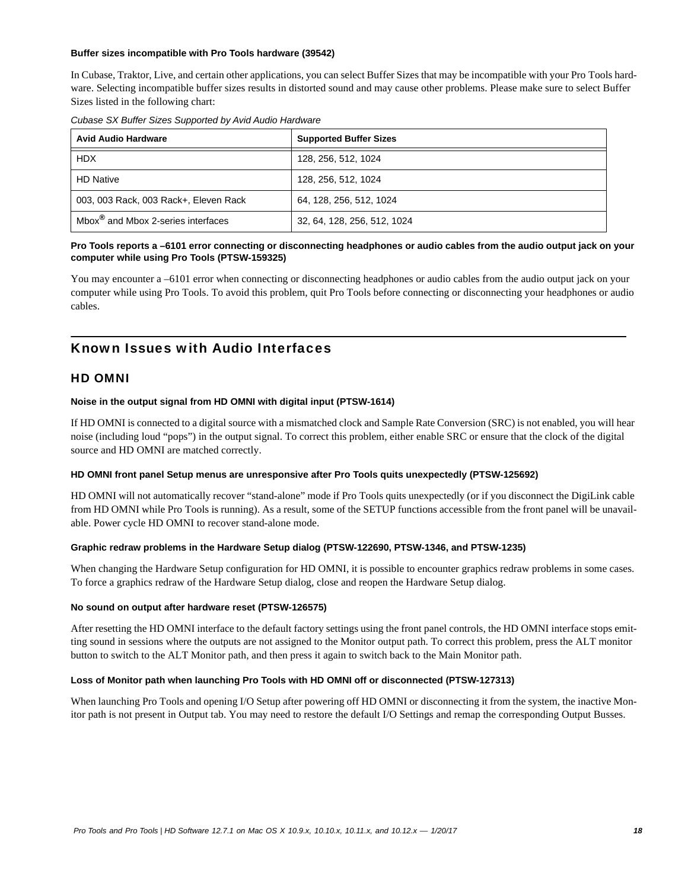#### **Buffer sizes incompatible with Pro Tools hardware (39542)**

In Cubase, Traktor, Live, and certain other applications, you can select Buffer Sizes that may be incompatible with your Pro Tools hardware. Selecting incompatible buffer sizes results in distorted sound and may cause other problems. Please make sure to select Buffer Sizes listed in the following chart:

*Cubase SX Buffer Sizes Supported by Avid Audio Hardware*

| <b>Avid Audio Hardware</b>                     | <b>Supported Buffer Sizes</b> |
|------------------------------------------------|-------------------------------|
| <b>HDX</b>                                     | 128, 256, 512, 1024           |
| <b>HD Native</b>                               | 128, 256, 512, 1024           |
| 003, 003 Rack, 003 Rack+, Eleven Rack          | 64, 128, 256, 512, 1024       |
| Mbox <sup>®</sup> and Mbox 2-series interfaces | 32, 64, 128, 256, 512, 1024   |

# **Pro Tools reports a –6101 error connecting or disconnecting headphones or audio cables from the audio output jack on your computer while using Pro Tools (PTSW-159325)**

You may encounter a –6101 error when connecting or disconnecting headphones or audio cables from the audio output jack on your computer while using Pro Tools. To avoid this problem, quit Pro Tools before connecting or disconnecting your headphones or audio cables.

# Known Issues with Audio Interfaces

# HD OMNI

# **Noise in the output signal from HD OMNI with digital input (PTSW-1614)**

If HD OMNI is connected to a digital source with a mismatched clock and Sample Rate Conversion (SRC) is not enabled, you will hear noise (including loud "pops") in the output signal. To correct this problem, either enable SRC or ensure that the clock of the digital source and HD OMNI are matched correctly.

#### **HD OMNI front panel Setup menus are unresponsive after Pro Tools quits unexpectedly (PTSW-125692)**

HD OMNI will not automatically recover "stand-alone" mode if Pro Tools quits unexpectedly (or if you disconnect the DigiLink cable from HD OMNI while Pro Tools is running). As a result, some of the SETUP functions accessible from the front panel will be unavailable. Power cycle HD OMNI to recover stand-alone mode.

# **Graphic redraw problems in the Hardware Setup dialog (PTSW-122690, PTSW-1346, and PTSW-1235)**

When changing the Hardware Setup configuration for HD OMNI, it is possible to encounter graphics redraw problems in some cases. To force a graphics redraw of the Hardware Setup dialog, close and reopen the Hardware Setup dialog.

# **No sound on output after hardware reset (PTSW-126575)**

After resetting the HD OMNI interface to the default factory settings using the front panel controls, the HD OMNI interface stops emitting sound in sessions where the outputs are not assigned to the Monitor output path. To correct this problem, press the ALT monitor button to switch to the ALT Monitor path, and then press it again to switch back to the Main Monitor path.

# **Loss of Monitor path when launching Pro Tools with HD OMNI off or disconnected (PTSW-127313)**

When launching Pro Tools and opening I/O Setup after powering off HD OMNI or disconnecting it from the system, the inactive Monitor path is not present in Output tab. You may need to restore the default I/O Settings and remap the corresponding Output Busses.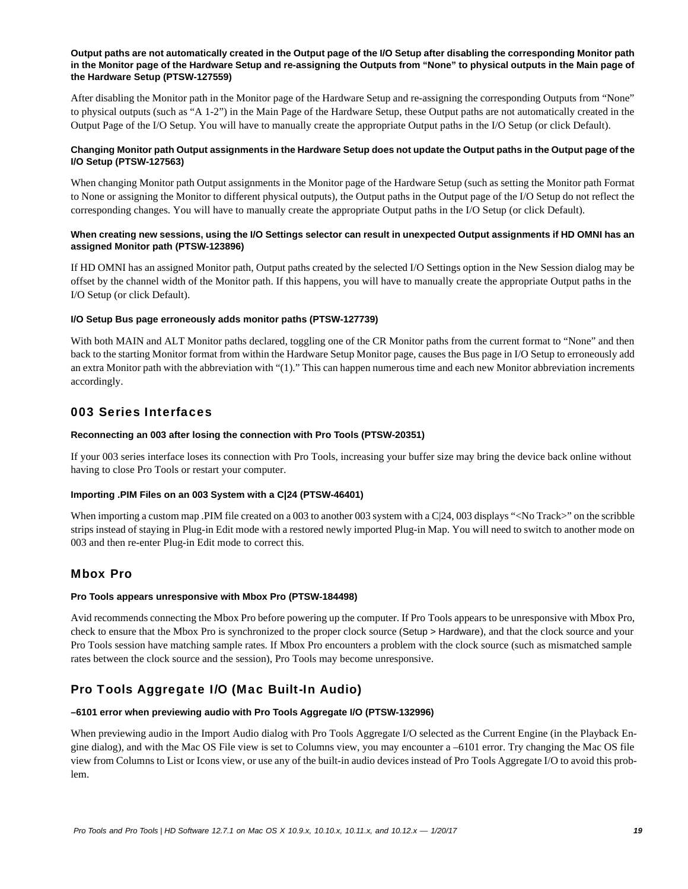#### **Output paths are not automatically created in the Output page of the I/O Setup after disabling the corresponding Monitor path in the Monitor page of the Hardware Setup and re-assigning the Outputs from "None" to physical outputs in the Main page of the Hardware Setup (PTSW-127559)**

After disabling the Monitor path in the Monitor page of the Hardware Setup and re-assigning the corresponding Outputs from "None" to physical outputs (such as "A 1-2") in the Main Page of the Hardware Setup, these Output paths are not automatically created in the Output Page of the I/O Setup. You will have to manually create the appropriate Output paths in the I/O Setup (or click Default).

# **Changing Monitor path Output assignments in the Hardware Setup does not update the Output paths in the Output page of the I/O Setup (PTSW-127563)**

When changing Monitor path Output assignments in the Monitor page of the Hardware Setup (such as setting the Monitor path Format to None or assigning the Monitor to different physical outputs), the Output paths in the Output page of the I/O Setup do not reflect the corresponding changes. You will have to manually create the appropriate Output paths in the I/O Setup (or click Default).

# **When creating new sessions, using the I/O Settings selector can result in unexpected Output assignments if HD OMNI has an assigned Monitor path (PTSW-123896)**

If HD OMNI has an assigned Monitor path, Output paths created by the selected I/O Settings option in the New Session dialog may be offset by the channel width of the Monitor path. If this happens, you will have to manually create the appropriate Output paths in the I/O Setup (or click Default).

# **I/O Setup Bus page erroneously adds monitor paths (PTSW-127739)**

With both MAIN and ALT Monitor paths declared, toggling one of the CR Monitor paths from the current format to "None" and then back to the starting Monitor format from within the Hardware Setup Monitor page, causes the Bus page in I/O Setup to erroneously add an extra Monitor path with the abbreviation with "(1)." This can happen numerous time and each new Monitor abbreviation increments accordingly.

# 003 Series Interfaces

# **Reconnecting an 003 after losing the connection with Pro Tools (PTSW-20351)**

If your 003 series interface loses its connection with Pro Tools, increasing your buffer size may bring the device back online without having to close Pro Tools or restart your computer.

# **Importing .PIM Files on an 003 System with a C|24 (PTSW-46401)**

When importing a custom map .PIM file created on a 003 to another 003 system with a C|24, 003 displays "<No Track>" on the scribble strips instead of staying in Plug-in Edit mode with a restored newly imported Plug-in Map. You will need to switch to another mode on 003 and then re-enter Plug-in Edit mode to correct this.

# Mbox Pro

# **Pro Tools appears unresponsive with Mbox Pro (PTSW-184498)**

Avid recommends connecting the Mbox Pro before powering up the computer. If Pro Tools appears to be unresponsive with Mbox Pro, check to ensure that the Mbox Pro is synchronized to the proper clock source (Setup > Hardware), and that the clock source and your Pro Tools session have matching sample rates. If Mbox Pro encounters a problem with the clock source (such as mismatched sample rates between the clock source and the session), Pro Tools may become unresponsive.

# Pro Tools Aggregate I/O (Mac Built-In Audio)

# **–6101 error when previewing audio with Pro Tools Aggregate I/O (PTSW-132996)**

When previewing audio in the Import Audio dialog with Pro Tools Aggregate I/O selected as the Current Engine (in the Playback Engine dialog), and with the Mac OS File view is set to Columns view, you may encounter a –6101 error. Try changing the Mac OS file view from Columns to List or Icons view, or use any of the built-in audio devices instead of Pro Tools Aggregate I/O to avoid this problem.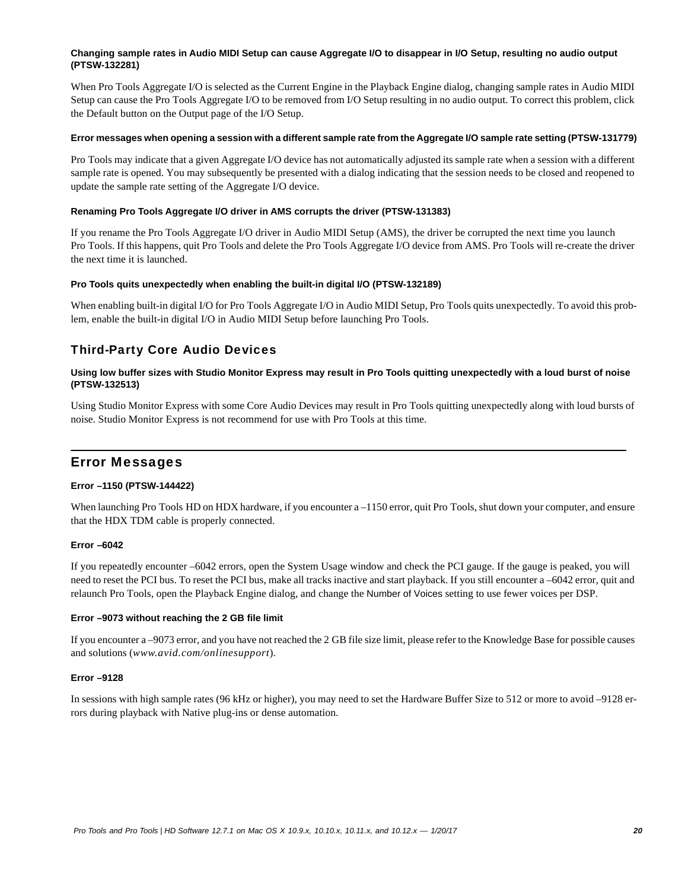### **Changing sample rates in Audio MIDI Setup can cause Aggregate I/O to disappear in I/O Setup, resulting no audio output (PTSW-132281)**

When Pro Tools Aggregate I/O is selected as the Current Engine in the Playback Engine dialog, changing sample rates in Audio MIDI Setup can cause the Pro Tools Aggregate I/O to be removed from I/O Setup resulting in no audio output. To correct this problem, click the Default button on the Output page of the I/O Setup.

#### **Error messages when opening a session with a different sample rate from the Aggregate I/O sample rate setting (PTSW-131779)**

Pro Tools may indicate that a given Aggregate I/O device has not automatically adjusted its sample rate when a session with a different sample rate is opened. You may subsequently be presented with a dialog indicating that the session needs to be closed and reopened to update the sample rate setting of the Aggregate I/O device.

# **Renaming Pro Tools Aggregate I/O driver in AMS corrupts the driver (PTSW-131383)**

If you rename the Pro Tools Aggregate I/O driver in Audio MIDI Setup (AMS), the driver be corrupted the next time you launch Pro Tools. If this happens, quit Pro Tools and delete the Pro Tools Aggregate I/O device from AMS. Pro Tools will re-create the driver the next time it is launched.

# **Pro Tools quits unexpectedly when enabling the built-in digital I/O (PTSW-132189)**

When enabling built-in digital I/O for Pro Tools Aggregate I/O in Audio MIDI Setup, Pro Tools quits unexpectedly. To avoid this problem, enable the built-in digital I/O in Audio MIDI Setup before launching Pro Tools.

# Third-Party Core Audio Devices

# **Using low buffer sizes with Studio Monitor Express may result in Pro Tools quitting unexpectedly with a loud burst of noise (PTSW-132513)**

Using Studio Monitor Express with some Core Audio Devices may result in Pro Tools quitting unexpectedly along with loud bursts of noise. Studio Monitor Express is not recommend for use with Pro Tools at this time.

# Error Messages

# **Error –1150 (PTSW-144422)**

When launching Pro Tools HD on HDX hardware, if you encounter a –1150 error, quit Pro Tools, shut down your computer, and ensure that the HDX TDM cable is properly connected.

# **Error –6042**

If you repeatedly encounter –6042 errors, open the System Usage window and check the PCI gauge. If the gauge is peaked, you will need to reset the PCI bus. To reset the PCI bus, make all tracks inactive and start playback. If you still encounter a –6042 error, quit and relaunch Pro Tools, open the Playback Engine dialog, and change the Number of Voices setting to use fewer voices per DSP.

# **Error –9073 without reaching the 2 GB file limit**

If you encounter a –9073 error, and you have not reached the 2 GB file size limit, please refer to the Knowledge Base for possible causes and solutions (*www.avid.com/onlinesupport*).

# **Error –9128**

In sessions with high sample rates (96 kHz or higher), you may need to set the Hardware Buffer Size to 512 or more to avoid –9128 errors during playback with Native plug-ins or dense automation.